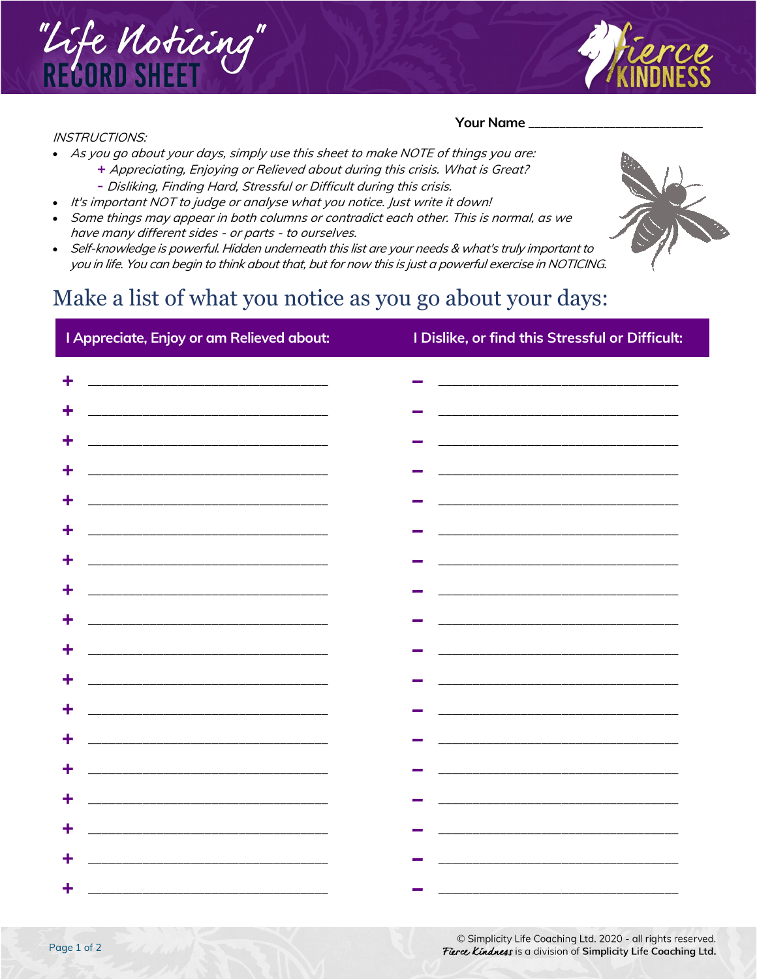

## INSTRUCTIONS:

## Your Name

- As you go about your days, simply use this sheet to make NOTE of things you are:
	- **+** Appreciating, Enjoying or Relieved about during this crisis. What is Great? **-** Disliking, Finding Hard, Stressful or Difficult during this crisis.
	- It's important NOT to judge or analyse what you notice. Just write it down!
- Some things may appear in both columns or contradict each other. This is normal, as we have many different sides - or parts - to ourselves.
- Self-knowledge is powerful. Hidden underneath this list are your needs & what's truly important to you in life. You can begin to think about that, but for now this is just a powerful exercise in NOTICING.

## Make a list of what you notice as you go about your days:

| I Appreciate, Enjoy or am Relieved about:                                                                                 | I Dislike, or find this Stressful or Difficult:                                                                       |
|---------------------------------------------------------------------------------------------------------------------------|-----------------------------------------------------------------------------------------------------------------------|
| ÷                                                                                                                         |                                                                                                                       |
|                                                                                                                           |                                                                                                                       |
|                                                                                                                           |                                                                                                                       |
|                                                                                                                           |                                                                                                                       |
| ÷<br><u> 2000 - Jan James James Jan James James James James James James James James James James James James James Jam</u> | <u> 2000 - Jan James James James James James James James James James James James James James James James James J</u>  |
| ÷                                                                                                                         |                                                                                                                       |
| ٠                                                                                                                         | <u> 1980 - Johann Barn, mars an deus an deus Amerikaansk kommunister (</u>                                            |
|                                                                                                                           | <u> 1980 - Johann John Stone, mars and de final and de final and de final and de final and de final and de final</u>  |
| ÷                                                                                                                         |                                                                                                                       |
| <u> 2000 - Jan James James Barnett, amerikan basar pada 2000 - peristiwa personal personal personal personal per</u><br>÷ |                                                                                                                       |
|                                                                                                                           |                                                                                                                       |
|                                                                                                                           |                                                                                                                       |
|                                                                                                                           | <u> 1980 - Johann John Stone, mars eta biztanleria (h. 1980).</u>                                                     |
|                                                                                                                           |                                                                                                                       |
|                                                                                                                           | <u> 1989 - Johann Harry Harry Harry Harry Harry Harry Harry Harry Harry Harry Harry Harry Harry Harry Harry Harry</u> |
|                                                                                                                           | <u> 2000 - Jan James James Barnett, mars andrewski politik (d. 1982)</u>                                              |
|                                                                                                                           |                                                                                                                       |